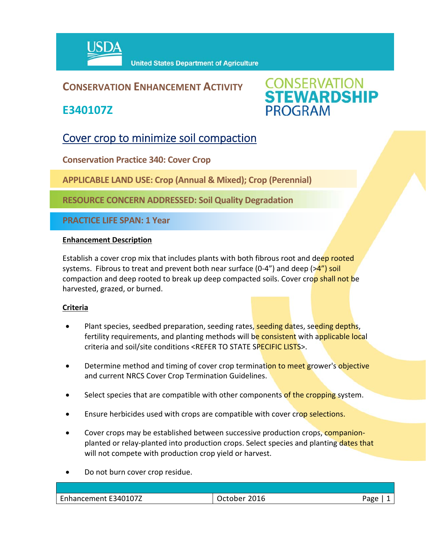

## **CONSERVATION ENHANCEMENT ACTIVITY**

**E340107Z**



# Cover crop to minimize soil compaction

**Conservation Practice 340: Cover Crop**

**APPLICABLE LAND USE: Crop (Annual & Mixed); Crop (Perennial)**

**RESOURCE CONCERN ADDRESSED: Soil Quality Degradation**

**PRACTICE LIFE SPAN: 1 Year**

### **Enhancement Description**

Establish a cover crop mix that includes plants with both fibrous root and deep rooted systems. Fibrous to treat and prevent both near surface  $(0-4<sup>n</sup>)$  and deep  $(>4<sup>n</sup>)$  soil compaction and deep rooted to break up deep compacted soils. Cover crop shall not be harvested, grazed, or burned.

### **Criteria**

- Plant species, seedbed preparation, seeding rates, seeding dates, seeding depths, fertility requirements, and planting methods will be consistent with applicable local criteria and soil/site conditions <REFER TO STATE SPECIFIC LISTS>.
- Determine method and timing of cover crop termination to meet grower's objective and current NRCS Cover Crop Termination Guidelines.
- Select species that are compatible with other components of the cropping system.
- Ensure herbicides used with crops are compatible with cover crop selections.
- Cover crops may be established between successive production crops, companionplanted or relay-planted into production crops. Select species and planting dates that will not compete with production crop yield or harvest.
- Do not burn cover crop residue.

| Enhancement E340107Z | 2016<br><b>Scholar</b><br>rctoner | Page |
|----------------------|-----------------------------------|------|